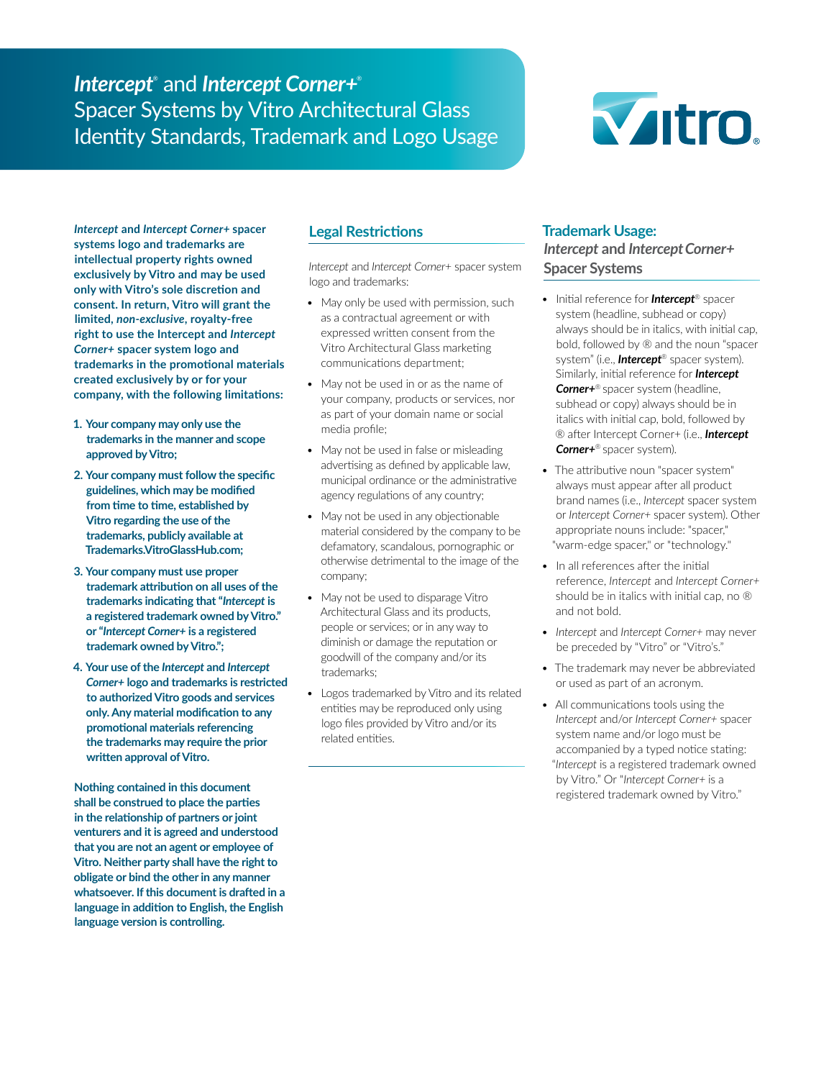# *Intercept*® and *Intercept Corner+*® Spacer Systems by Vitro Architectural Glass Identity Standards, Trademark and Logo Usage



*Intercept* **and** *Intercept Corner+* **spacer systems logo and trademarks are intellectual property rights owned exclusively by Vitro and may be used only with Vitro's sole discretion and consent. In return, Vitro will grant the limited,** *non-exclusive***, royalty-free right to use the Intercept and** *Intercept Corner+* **spacer system logo and trademarks in the promotional materials created exclusively by or for your company, with the following limitations:**

- **1. Your company may only use the trademarks in the manner and scope approved by Vitro;**
- **2. Your company must follow the specific guidelines, which may be modified from time to time, established by Vitro regarding the use of the trademarks, publicly available at Trademarks.VitroGlassHub.com;**
- **3. Your company must use proper trademark attribution on all uses of the trademarks indicating that "***Intercept* **is a registered trademark owned by Vitro." or "***Intercept Corner+* **is a registered trademark owned by Vitro.";**
- **4. Your use of the** *Intercept* **and** *Intercept Corner+* **logo and trademarks is restricted to authorized Vitro goods and services only. Any material modification to any promotional materials referencing the trademarks may require the prior written approval of Vitro.**

**Nothing contained in this document shall be construed to place the parties in the relationship of partners or joint venturers and it is agreed and understood that you are not an agent or employee of Vitro. Neither party shall have the right to obligate or bind the other in any manner whatsoever. If this document is drafted in a language in addition to English, the English language version is controlling.**

# **Legal Restrictions**

*Intercept* and *Intercept Corner+* spacer system logo and trademarks:

- May only be used with permission, such as a contractual agreement or with expressed written consent from the Vitro Architectural Glass marketing communications department;
- May not be used in or as the name of your company, products or services, nor as part of your domain name or social media profile;
- May not be used in false or misleading advertising as defined by applicable law, municipal ordinance or the administrative agency regulations of any country;
- May not be used in any objectionable material considered by the company to be defamatory, scandalous, pornographic or otherwise detrimental to the image of the company;
- May not be used to disparage Vitro Architectural Glass and its products, people or services; or in any way to diminish or damage the reputation or goodwill of the company and/or its trademarks;
- Logos trademarked by Vitro and its related entities may be reproduced only using logo files provided by Vitro and/or its related entities.

## **Trademark Usage:**

## *Intercept* **and** *InterceptCorner+* **Spacer Systems**

- Initial reference for *Intercept*® spacer system (headline, subhead or copy) always should be in italics, with initial cap, bold, followed by ® and the noun "spacer system" (i.e., *Intercept*® spacer system). Similarly, initial reference for *Intercept Corner+*® spacer system (headline, subhead or copy) always should be in italics with initial cap, bold, followed by ® after Intercept Corner+ (i.e., *Intercept Corner+*® spacer system).
- The attributive noun "spacer system" always must appear after all product brand names (i.e., *Intercept* spacer system or *Intercept Corner+* spacer system). Other appropriate nouns include: "spacer," "warm-edge spacer," or "technology."
- In all references after the initial reference, *Intercept* and *Intercept Corner+* should be in italics with initial cap, no ® and not bold.
- *• Intercept* and *Intercept Corner+* may never be preceded by "Vitro" or "Vitro's."
- The trademark may never be abbreviated or used as part of an acronym.
- All communications tools using the *Intercept* and/or *Intercept Corner+* spacer system name and/or logo must be accompanied by a typed notice stating: "*Intercept* is a registered trademark owned by Vitro." Or "*Intercept Corner+* is a registered trademark owned by Vitro."